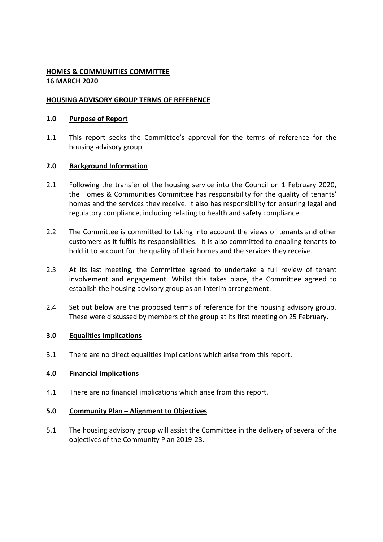# **HOMES & COMMUNITIES COMMITTEE 16 MARCH 2020**

# **HOUSING ADVISORY GROUP TERMS OF REFERENCE**

# **1.0 Purpose of Report**

1.1 This report seeks the Committee's approval for the terms of reference for the housing advisory group.

# **2.0 Background Information**

- 2.1 Following the transfer of the housing service into the Council on 1 February 2020, the Homes & Communities Committee has responsibility for the quality of tenants' homes and the services they receive. It also has responsibility for ensuring legal and regulatory compliance, including relating to health and safety compliance.
- 2.2 The Committee is committed to taking into account the views of tenants and other customers as it fulfils its responsibilities. It is also committed to enabling tenants to hold it to account for the quality of their homes and the services they receive.
- 2.3 At its last meeting, the Committee agreed to undertake a full review of tenant involvement and engagement. Whilst this takes place, the Committee agreed to establish the housing advisory group as an interim arrangement.
- 2.4 Set out below are the proposed terms of reference for the housing advisory group. These were discussed by members of the group at its first meeting on 25 February.

### **3.0 Equalities Implications**

3.1 There are no direct equalities implications which arise from this report.

### **4.0 Financial Implications**

4.1 There are no financial implications which arise from this report.

### **5.0 Community Plan – Alignment to Objectives**

5.1 The housing advisory group will assist the Committee in the delivery of several of the objectives of the Community Plan 2019-23.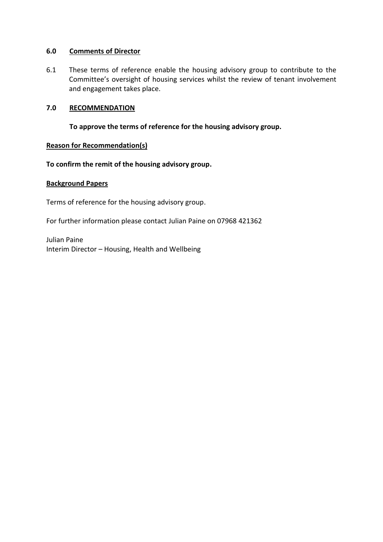# **6.0 Comments of Director**

6.1 These terms of reference enable the housing advisory group to contribute to the Committee's oversight of housing services whilst the review of tenant involvement and engagement takes place.

# **7.0 RECOMMENDATION**

**To approve the terms of reference for the housing advisory group.**

# **Reason for Recommendation(s)**

**To confirm the remit of the housing advisory group.**

### **Background Papers**

Terms of reference for the housing advisory group.

For further information please contact Julian Paine on 07968 421362

Julian Paine Interim Director – Housing, Health and Wellbeing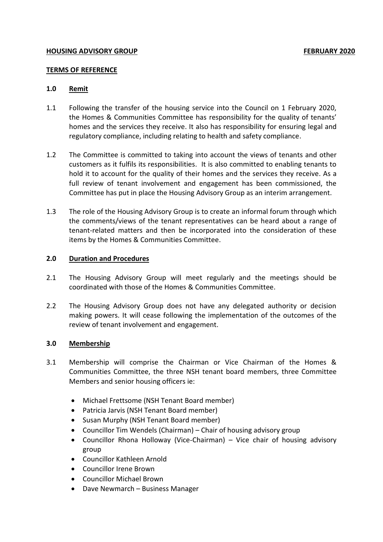# **TERMS OF REFERENCE**

# **1.0 Remit**

- 1.1 Following the transfer of the housing service into the Council on 1 February 2020, the Homes & Communities Committee has responsibility for the quality of tenants' homes and the services they receive. It also has responsibility for ensuring legal and regulatory compliance, including relating to health and safety compliance.
- 1.2 The Committee is committed to taking into account the views of tenants and other customers as it fulfils its responsibilities. It is also committed to enabling tenants to hold it to account for the quality of their homes and the services they receive. As a full review of tenant involvement and engagement has been commissioned, the Committee has put in place the Housing Advisory Group as an interim arrangement.
- 1.3 The role of the Housing Advisory Group is to create an informal forum through which the comments/views of the tenant representatives can be heard about a range of tenant-related matters and then be incorporated into the consideration of these items by the Homes & Communities Committee.

### **2.0 Duration and Procedures**

- 2.1 The Housing Advisory Group will meet regularly and the meetings should be coordinated with those of the Homes & Communities Committee.
- 2.2 The Housing Advisory Group does not have any delegated authority or decision making powers. It will cease following the implementation of the outcomes of the review of tenant involvement and engagement.

### **3.0 Membership**

- 3.1 Membership will comprise the Chairman or Vice Chairman of the Homes & Communities Committee, the three NSH tenant board members, three Committee Members and senior housing officers ie:
	- Michael Frettsome (NSH Tenant Board member)
	- Patricia Jarvis (NSH Tenant Board member)
	- Susan Murphy (NSH Tenant Board member)
	- Councillor Tim Wendels (Chairman) Chair of housing advisory group
	- Councillor Rhona Holloway (Vice-Chairman) Vice chair of housing advisory group
	- Councillor Kathleen Arnold
	- Councillor Irene Brown
	- Councillor Michael Brown
	- Dave Newmarch Business Manager